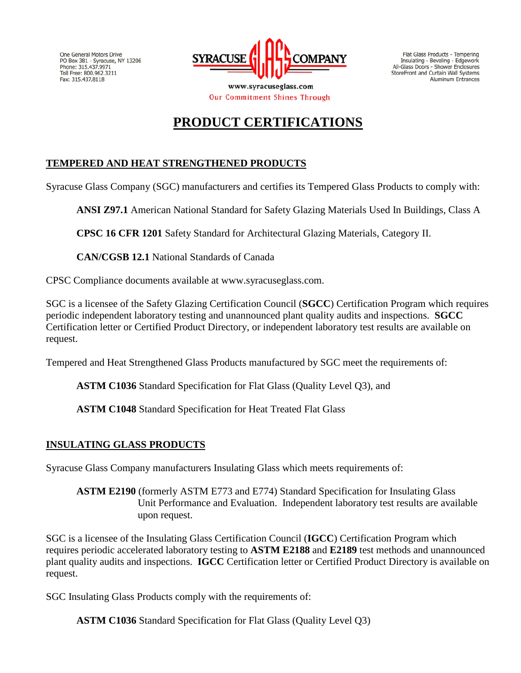One General Motors Drive PO Box 381 - Syracuse, NY 13206 Phone: 315.437.9971 Toll Free: 800.962.3211<br>Fax: 315.437.8118



Flat Glass Products - Tempering Insulating - Beveling - Edgework All-Glass Doors - Shower Enclosures<br>StoreFront and Curtain Wall Systems Aluminum Entrances

www.syracuseglass.com **Our Commitment Shines Through** 

# **PRODUCT CERTIFICATIONS**

## **TEMPERED AND HEAT STRENGTHENED PRODUCTS**

Syracuse Glass Company (SGC) manufacturers and certifies its Tempered Glass Products to comply with:

**ANSI Z97.1** American National Standard for Safety Glazing Materials Used In Buildings, Class A

**CPSC 16 CFR 1201** Safety Standard for Architectural Glazing Materials, Category II.

**CAN/CGSB 12.1** National Standards of Canada

CPSC Compliance documents available at www.syracuseglass.com.

SGC is a licensee of the Safety Glazing Certification Council (**SGCC**) Certification Program which requires periodic independent laboratory testing and unannounced plant quality audits and inspections. **SGCC** Certification letter or Certified Product Directory, or independent laboratory test results are available on request.

Tempered and Heat Strengthened Glass Products manufactured by SGC meet the requirements of:

**ASTM C1036** Standard Specification for Flat Glass (Quality Level Q3), and

**ASTM C1048** Standard Specification for Heat Treated Flat Glass

## **INSULATING GLASS PRODUCTS**

Syracuse Glass Company manufacturers Insulating Glass which meets requirements of:

**ASTM E2190** (formerly ASTM E773 and E774) Standard Specification for Insulating Glass Unit Performance and Evaluation. Independent laboratory test results are available upon request.

SGC is a licensee of the Insulating Glass Certification Council (**IGCC**) Certification Program which requires periodic accelerated laboratory testing to **ASTM E2188** and **E2189** test methods and unannounced plant quality audits and inspections. **IGCC** Certification letter or Certified Product Directory is available on request.

SGC Insulating Glass Products comply with the requirements of:

**ASTM C1036** Standard Specification for Flat Glass (Quality Level Q3)